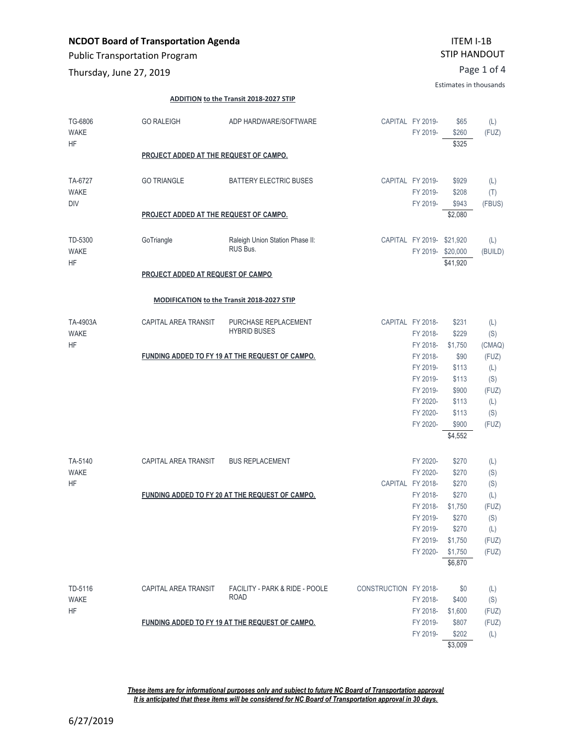Public Transportation Program

Page 1 of 4 Thursday, June 27, 2019

Estimates in thousands

#### **ADDITION to the Transit 2018-2027 STIP**

| TG-6806<br><b>WAKE</b><br><b>HF</b>  | <b>GO RALEIGH</b>                               | ADP HARDWARE/SOFTWARE                             |                       | CAPITAL FY 2019-<br>FY 2019-                  | \$65<br>\$260<br>\$325               | (L)<br>(FUZ)          |  |
|--------------------------------------|-------------------------------------------------|---------------------------------------------------|-----------------------|-----------------------------------------------|--------------------------------------|-----------------------|--|
|                                      | PROJECT ADDED AT THE REQUEST OF CAMPO.          |                                                   |                       |                                               |                                      |                       |  |
| TA-6727<br><b>WAKE</b><br><b>DIV</b> | <b>GO TRIANGLE</b>                              | <b>BATTERY ELECTRIC BUSES</b>                     |                       | CAPITAL FY 2019-<br>FY 2019-<br>FY 2019-      | \$929<br>\$208<br>\$943              | (L)<br>(T)<br>(FBUS)  |  |
|                                      | PROJECT ADDED AT THE REQUEST OF CAMPO.          |                                                   |                       |                                               | \$2,080                              |                       |  |
| TD-5300<br><b>WAKE</b><br><b>HF</b>  | GoTriangle                                      | Raleigh Union Station Phase II:<br>RUS Bus.       |                       | CAPITAL FY 2019- \$21,920<br>FY 2019-\$20,000 | \$41,920                             | (L)<br>(BUILD)        |  |
|                                      | PROJECT ADDED AT REQUEST OF CAMPO               |                                                   |                       |                                               |                                      |                       |  |
|                                      |                                                 | <b>MODIFICATION to the Transit 2018-2027 STIP</b> |                       |                                               |                                      |                       |  |
| TA-4903A<br><b>WAKE</b><br><b>HF</b> | CAPITAL AREA TRANSIT                            | PURCHASE REPLACEMENT<br><b>HYBRID BUSES</b>       |                       | CAPITAL FY 2018-<br>FY 2018-<br>FY 2018-      | \$231<br>\$229<br>\$1,750            | (L)<br>(S)<br>(CMAQ)  |  |
|                                      |                                                 | FUNDING ADDED TO FY 19 AT THE REQUEST OF CAMPO.   |                       | FY 2018-<br>FY 2019-                          | \$90<br>\$113                        | (FUZ)<br>(L)          |  |
|                                      |                                                 |                                                   |                       | FY 2019-<br>FY 2019-<br>FY 2020-              | \$113<br>\$900<br>\$113              | (S)<br>(FUZ)<br>(L)   |  |
|                                      |                                                 |                                                   |                       | FY 2020-<br>FY 2020-                          | \$113<br>\$900                       | (S)<br>(FUZ)          |  |
|                                      |                                                 |                                                   |                       |                                               | \$4,552                              |                       |  |
| TA-5140<br><b>WAKE</b><br><b>HF</b>  | CAPITAL AREA TRANSIT                            | <b>BUS REPLACEMENT</b>                            |                       | FY 2020-<br>FY 2020-<br>CAPITAL FY 2018-      | \$270<br>\$270<br>\$270              | (L)<br>(S)<br>(S)     |  |
|                                      | FUNDING ADDED TO FY 20 AT THE REQUEST OF CAMPO. |                                                   |                       | FY 2018-<br>FY 2018-<br>FY 2019-              | \$270<br>\$1,750<br>\$270            | (L)<br>(FUZ)<br>(S)   |  |
|                                      |                                                 |                                                   |                       | FY 2019-<br>FY 2019-<br>FY 2020-              | \$270<br>\$1,750<br>\$1,750          | (L)<br>(FUZ)<br>(FUZ) |  |
|                                      |                                                 |                                                   |                       |                                               | \$6,870                              |                       |  |
| TD-5116<br><b>WAKE</b>               | CAPITAL AREA TRANSIT                            | FACILITY - PARK & RIDE - POOLE<br><b>ROAD</b>     | CONSTRUCTION FY 2018- | FY 2018-                                      | \$0<br>\$400                         | (L)<br>(S)            |  |
| <b>HF</b>                            |                                                 | FUNDING ADDED TO FY 19 AT THE REQUEST OF CAMPO.   |                       | FY 2018-<br>FY 2019-<br>FY 2019-              | \$1,600<br>\$807<br>\$202<br>\$3,009 | (FUZ)<br>(FUZ)<br>(L) |  |

*These items are for informational purposes only and subject to future NC Board of Transportation approval It is anticipated that these items will be considered for NC Board of Transportation approval in 30 days.*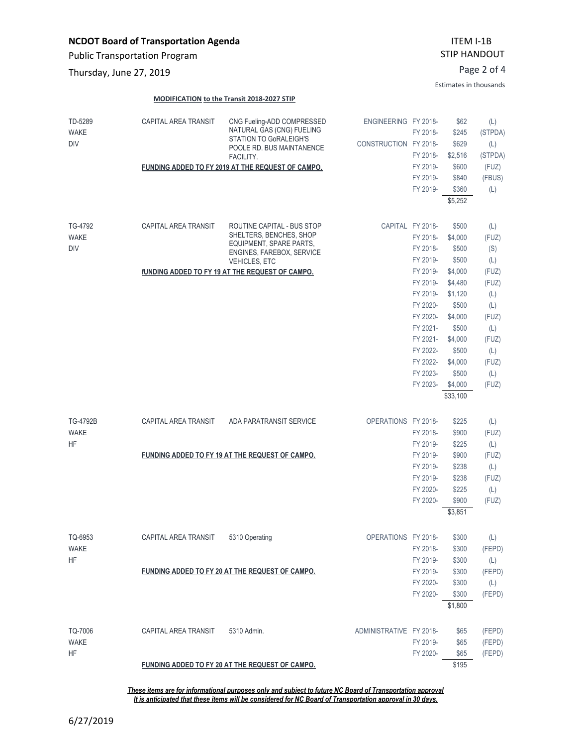**MODIFICATION to the Transit 2018-2027 STIP**

CAPITAL AREA TRANSIT CNG Fueling-ADD COMPRESSED

Public Transportation Program

Page 2 of 4 Thursday, June 27, 2019

TD-5289

### ITEM I-1B STIP HANDOUT

Estimates in thousands

FY 2020- \$65 (FEPD) \$195

ENGINEERING FY 2018- \$62 (L)

#### NATURAL GAS (CNG) FUELING STATION TO GoRALEIGH'S POOLE RD. BUS MAINTANENCE FACILITY. **FUNDING ADDED TO FY 2019 AT THE REQUEST OF CAMPO.** FY 2018- \$245 (STPDA) CONSTRUCTION FY 2018- \$629 (L) FY 2018- \$2,516 (STPDA) FY 2019- \$600 (FUZ) FY 2019- \$840 (FBUS) FY 2019- \$360 (L) \$5,252 WAKE DIV CAPITAL AREA TRANSIT ROUTINE CAPITAL - BUS STOP SHELTERS, BENCHES, SHOP EQUIPMENT, SPARE PARTS, ENGINES, FAREBOX, SERVICE VEHICLES, ETC **fUNDING ADDED TO FY 19 AT THE REQUEST OF CAMPO.** CAPITAL FY 2018- \$500 (L) FY 2018- \$4,000 (FUZ) FY 2018- \$500 (S) FY 2019- \$500 (L) FY 2019- \$4,000 (FUZ) FY 2019- \$4,480 (FUZ) FY 2019- \$1,120 (L) FY 2020- \$500 (L) FY 2020- \$4,000 (FUZ) FY 2021- \$500 (L) FY 2021- \$4,000 (FUZ) FY 2022- \$500 (L) FY 2022- \$4,000 (FUZ) FY 2023- \$500 (L) FY 2023- \$4,000 (FUZ) \$33,100 TG-4792 WAKE DIV CAPITAL AREA TRANSIT ADA PARATRANSIT SERVICE **FUNDING ADDED TO FY 19 AT THE REQUEST OF CAMPO.** OPERATIONS FY 2018- \$225 (L) FY 2018- \$900 (FUZ) FY 2019- \$225 (L) FY 2019- \$900 (FUZ) FY 2019- \$238 (L) FY 2019- \$238 (FUZ) FY 2020- \$225 (L) FY 2020- \$900 (FUZ) \$3,851 TG-4792B WAKE HF CAPITAL AREA TRANSIT 5310 Operating **FUNDING ADDED TO FY 20 AT THE REQUEST OF CAMPO.** OPERATIONS FY 2018- \$300 (L) FY 2018- \$300 (FEPD) FY 2019- \$300 (L) FY 2019- \$300 (FEPD) FY 2020- \$300 (L) FY 2020- \$300 (FEPD) \$1,800 TQ-6953 WAKE HF CAPITAL AREA TRANSIT 5310 Admin. ADMINISTRATIVE FY 2018- \$65 (FEPD) FY 2019- \$65 (FEPD) TQ-7006 WAKE

HF

*These items are for informational purposes only and subject to future NC Board of Transportation approval It is anticipated that these items will be considered for NC Board of Transportation approval in 30 days.*

**FUNDING ADDED TO FY 20 AT THE REQUEST OF CAMPO.**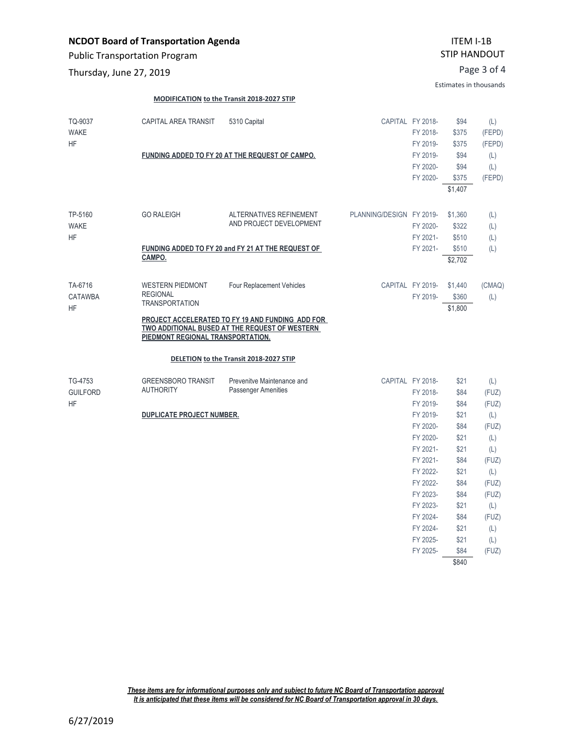Public Transportation Program

Page 3 of 4 Thursday, June 27, 2019

Estimates in thousands

FY 2024- \$84 (FUZ) FY 2024- \$21 (L) FY 2025- \$21 (L) FY 2025- \$84 (FUZ) \$840

#### **MODIFICATION to the Transit 2018-2027 STIP**

| TQ-9037<br><b>WAKE</b><br><b>HF</b>     | CAPITAL AREA TRANSIT                                                                                     | 5310 Capital<br>FUNDING ADDED TO FY 20 AT THE REQUEST OF CAMPO.                                                                 | CAPITAL FY 2018-         | FY 2018-<br>FY 2019-<br>FY 2019-<br>FY 2020-<br>FY 2020-                                     | \$94<br>\$375<br>\$375<br>\$94<br>\$94<br>\$375<br>\$1,407   | (L)<br>(FEPD)<br>(FEPD)<br>(L)<br>(L)<br>(FEPD)                     |
|-----------------------------------------|----------------------------------------------------------------------------------------------------------|---------------------------------------------------------------------------------------------------------------------------------|--------------------------|----------------------------------------------------------------------------------------------|--------------------------------------------------------------|---------------------------------------------------------------------|
| TP-5160<br><b>WAKE</b><br><b>HF</b>     | <b>GO RALEIGH</b>                                                                                        | ALTERNATIVES REFINEMENT<br>AND PROJECT DEVELOPMENT                                                                              | PLANNING/DESIGN FY 2019- | FY 2020-<br>FY 2021-                                                                         | \$1,360<br>\$322<br>\$510                                    | (L)<br>(L)<br>(L)                                                   |
|                                         | CAMPO.                                                                                                   | FUNDING ADDED TO FY 20 and FY 21 AT THE REQUEST OF                                                                              |                          | FY 2021-                                                                                     | \$510<br>\$2,702                                             | (L)                                                                 |
| TA-6716<br>CATAWBA<br><b>HF</b>         | <b>WESTERN PIEDMONT</b><br><b>REGIONAL</b><br><b>TRANSPORTATION</b><br>PIEDMONT REGIONAL TRANSPORTATION. | Four Replacement Vehicles<br>PROJECT ACCELERATED TO FY 19 AND FUNDING ADD FOR<br>TWO ADDITIONAL BUSED AT THE REQUEST OF WESTERN | CAPITAL FY 2019-         | FY 2019-                                                                                     | \$1,440<br>\$360<br>\$1,800                                  | (CMAQ)<br>(L)                                                       |
|                                         |                                                                                                          | DELETION to the Transit 2018-2027 STIP                                                                                          |                          |                                                                                              |                                                              |                                                                     |
| TG-4753<br><b>GUILFORD</b><br><b>HF</b> | <b>GREENSBORO TRANSIT</b><br><b>AUTHORITY</b><br><b>DUPLICATE PROJECT NUMBER.</b>                        | Prevenitve Maintenance and<br><b>Passenger Amenities</b>                                                                        | CAPITAL FY 2018-         | FY 2018-<br>FY 2019-<br>FY 2019-                                                             | \$21<br>\$84<br>\$84<br>\$21                                 | (L)<br>(FUZ)<br>(FUZ)                                               |
|                                         |                                                                                                          |                                                                                                                                 |                          | FY 2020-<br>FY 2020-<br>FY 2021-<br>FY 2021-<br>FY 2022-<br>FY 2022-<br>FY 2023-<br>FY 2023- | \$84<br>\$21<br>\$21<br>\$84<br>\$21<br>\$84<br>\$84<br>\$21 | (L)<br>(FUZ)<br>(L)<br>(L)<br>(FUZ)<br>(L)<br>(FUZ)<br>(FUZ)<br>(L) |

*These items are for informational purposes only and subject to future NC Board of Transportation approval It is anticipated that these items will be considered for NC Board of Transportation approval in 30 days.*